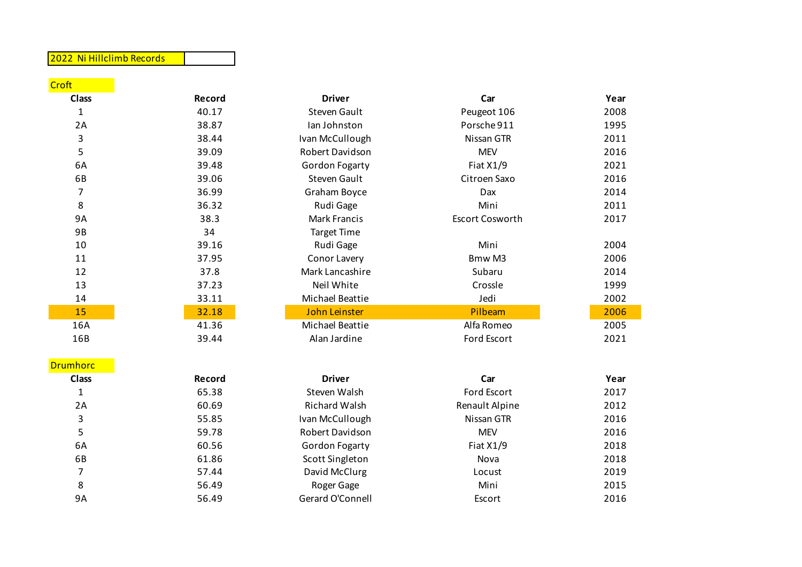## 2022 Ni Hillclimb Records

| Croft        |        |                      |                                |      |
|--------------|--------|----------------------|--------------------------------|------|
| <b>Class</b> | Record | <b>Driver</b>        | Car                            | Year |
| $\mathbf 1$  | 40.17  | <b>Steven Gault</b>  | Peugeot 106                    | 2008 |
| 2A           | 38.87  | Ian Johnston         | Porsche 911                    | 1995 |
| 3            | 38.44  | Ivan McCullough      | Nissan GTR                     | 2011 |
| 5            | 39.09  | Robert Davidson      | <b>MEV</b>                     | 2016 |
| 6A           | 39.48  | Gordon Fogarty       | Fiat $X1/9$                    | 2021 |
| 6B           | 39.06  | <b>Steven Gault</b>  | Citroen Saxo                   | 2016 |
| 7            | 36.99  | Graham Boyce         | Dax                            | 2014 |
| 8            | 36.32  | Rudi Gage            | Mini                           | 2011 |
| 9A           | 38.3   | <b>Mark Francis</b>  | <b>Escort Cosworth</b>         | 2017 |
| 9B           | 34     | <b>Target Time</b>   |                                |      |
| 10           | 39.16  | Rudi Gage            | Mini                           | 2004 |
| 11           | 37.95  | Conor Lavery         | B <sub>mw</sub> M <sub>3</sub> | 2006 |
| 12           | 37.8   | Mark Lancashire      | Subaru                         | 2014 |
| 13           | 37.23  | Neil White           | Crossle                        | 1999 |
| 14           | 33.11  | Michael Beattie      | Jedi                           | 2002 |
| 15           | 32.18  | <b>John Leinster</b> | Pilbeam                        | 2006 |
| 16A          | 41.36  | Michael Beattie      | Alfa Romeo                     | 2005 |
| 16B          | 39.44  | Alan Jardine         | Ford Escort                    | 2021 |

## Drumhorc

| Class |  |
|-------|--|
| 1     |  |
| 2A    |  |
| 3     |  |
| 5     |  |
| 6A    |  |
| 6B    |  |
| 7     |  |
| 8     |  |
| ດ ៱   |  |

| <u>norci</u> |        |                       |                |      |
|--------------|--------|-----------------------|----------------|------|
| lass         | Record | <b>Driver</b>         | Car            | Year |
| $\mathbf{1}$ | 65.38  | Steven Walsh          | Ford Escort    | 2017 |
| 2A           | 60.69  | Richard Walsh         | Renault Alpine | 2012 |
| 3            | 55.85  | Ivan McCullough       | Nissan GTR     | 2016 |
| 5            | 59.78  | Robert Davidson       | <b>MEV</b>     | 2016 |
| 6A           | 60.56  | <b>Gordon Fogarty</b> | Fiat $X1/9$    | 2018 |
| 6B           | 61.86  | Scott Singleton       | Nova           | 2018 |
| 7            | 57.44  | David McClurg         | Locust         | 2019 |
| 8            | 56.49  | Roger Gage            | Mini           | 2015 |
| 9А           | 56.49  | Gerard O'Connell      | Escort         | 2016 |

| .            |        |                       |                |      |
|--------------|--------|-----------------------|----------------|------|
| <b>Class</b> | Record | <b>Driver</b>         | Car            | Year |
|              | 65.38  | Steven Walsh          | Ford Escort    | 2017 |
| 2A           | 60.69  | Richard Walsh         | Renault Alpine | 2012 |
| 3            | 55.85  | Ivan McCullough       | Nissan GTR     | 2016 |
|              | 59.78  | Robert Davidson       | <b>MEV</b>     | 2016 |
| 6A           | 60.56  | <b>Gordon Fogarty</b> | Fiat $X1/9$    | 2018 |
| 6B           | 61.86  | Scott Singleton       | Nova           | 2018 |
|              | 57.44  | David McClurg         | Locust         | 2019 |
| 8            | 56.49  | Roger Gage            | Mini           | 2015 |
|              |        |                       |                |      |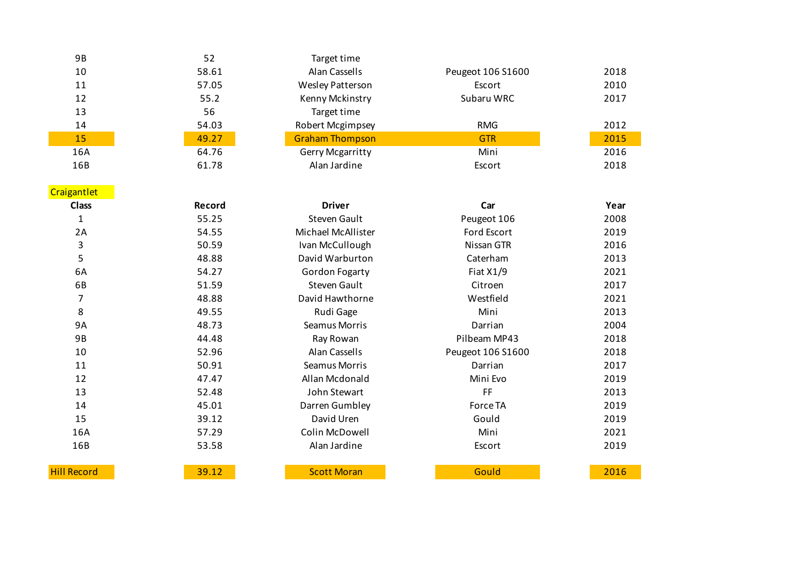| 9B  | 52    | Target time             |                   |      |
|-----|-------|-------------------------|-------------------|------|
| 10  | 58.61 | Alan Cassells           | Peugeot 106 S1600 | 2018 |
| 11  | 57.05 | Wesley Patterson        | Escort            | 2010 |
| 12  | 55.2  | Kenny Mckinstry         | Subaru WRC        | 2017 |
| 13  | 56    | Target time             |                   |      |
| 14  | 54.03 | Robert Mcgimpsey        | <b>RMG</b>        | 2012 |
| 15  | 49.27 | <b>Graham Thompson</b>  | <b>GTR</b>        | 2015 |
| 16A | 64.76 | <b>Gerry Mcgarritty</b> | Mini              | 2016 |
| 16B | 61.78 | Alan Jardine            | Escort            | 2018 |

| Craigantlet        |        |                      |                   |      |
|--------------------|--------|----------------------|-------------------|------|
| <b>Class</b>       | Record | <b>Driver</b>        | Car               | Year |
| $\mathbf{1}$       | 55.25  | <b>Steven Gault</b>  | Peugeot 106       | 2008 |
| 2A                 | 54.55  | Michael McAllister   | Ford Escort       | 2019 |
| 3                  | 50.59  | Ivan McCullough      | Nissan GTR        | 2016 |
| 5                  | 48.88  | David Warburton      | Caterham          | 2013 |
| 6A                 | 54.27  | Gordon Fogarty       | Fiat $X1/9$       | 2021 |
| 6B                 | 51.59  | <b>Steven Gault</b>  | Citroen           | 2017 |
| 7                  | 48.88  | David Hawthorne      | Westfield         | 2021 |
| 8                  | 49.55  | Rudi Gage            | Mini              | 2013 |
| <b>9A</b>          | 48.73  | Seamus Morris        | Darrian           | 2004 |
| 9B                 | 44.48  | Ray Rowan            | Pilbeam MP43      | 2018 |
| 10                 | 52.96  | Alan Cassells        | Peugeot 106 S1600 | 2018 |
| 11                 | 50.91  | <b>Seamus Morris</b> | Darrian           | 2017 |
| 12                 | 47.47  | Allan Mcdonald       | Mini Evo          | 2019 |
| 13                 | 52.48  | John Stewart         | FF                | 2013 |
| 14                 | 45.01  | Darren Gumbley       | Force TA          | 2019 |
| 15                 | 39.12  | David Uren           | Gould             | 2019 |
| 16A                | 57.29  | Colin McDowell       | Mini              | 2021 |
| 16B                | 53.58  | Alan Jardine         | Escort            | 2019 |
|                    |        |                      |                   |      |
| <b>Hill Record</b> | 39.12  | <b>Scott Moran</b>   | Gould             | 2016 |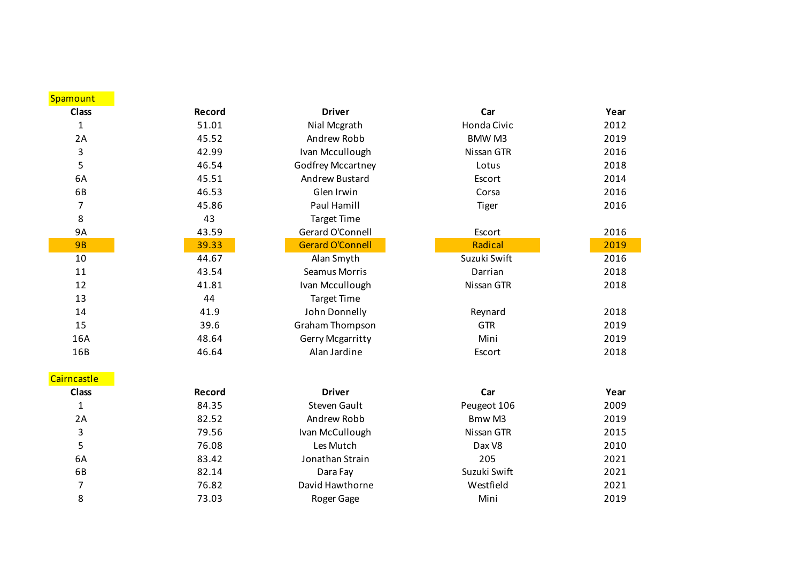| Spamount     |        |                         |               |      |
|--------------|--------|-------------------------|---------------|------|
| <b>Class</b> | Record | <b>Driver</b>           | Car           | Year |
| 1            | 51.01  | Nial Mcgrath            | Honda Civic   | 2012 |
| 2A           | 45.52  | Andrew Robb             | <b>BMW M3</b> | 2019 |
| 3            | 42.99  | Ivan Mccullough         | Nissan GTR    | 2016 |
| 5            | 46.54  | Godfrey Mccartney       | Lotus         | 2018 |
| 6A           | 45.51  | Andrew Bustard          | Escort        | 2014 |
| 6B           | 46.53  | Glen Irwin              | Corsa         | 2016 |
| 7            | 45.86  | Paul Hamill             | <b>Tiger</b>  | 2016 |
| 8            | 43     | <b>Target Time</b>      |               |      |
| <b>9A</b>    | 43.59  | Gerard O'Connell        | Escort        | 2016 |
| <b>9B</b>    | 39.33  | <b>Gerard O'Connell</b> | Radical       | 2019 |
| 10           | 44.67  | Alan Smyth              | Suzuki Swift  | 2016 |
| 11           | 43.54  | <b>Seamus Morris</b>    | Darrian       | 2018 |
| 12           | 41.81  | Ivan Mccullough         | Nissan GTR    | 2018 |
| 13           | 44     | <b>Target Time</b>      |               |      |
| 14           | 41.9   | John Donnelly           | Reynard       | 2018 |
| 15           | 39.6   | Graham Thompson         | <b>GTR</b>    | 2019 |
| 16A          | 48.64  | Gerry Mcgarritty        | Mini          | 2019 |
| 16B          | 46.64  | Alan Jardine            | Escort        | 2018 |
| Cairncastle  |        |                         |               |      |
| <b>Class</b> | Record | <b>Driver</b>           | Car           | Year |
| $\mathbf{1}$ | 84.35  | <b>Steven Gault</b>     | Peugeot 106   | 2009 |
| 2A           | 82.52  | Andrew Robb             | Bmw M3        | 2019 |
| 3            | 79.56  | Ivan McCullough         | Nissan GTR    | 2015 |
| 5            | 76.08  | Les Mutch               | Dax V8        | 2010 |
| 6A           | 83.42  | Jonathan Strain         | 205           | 2021 |
| 6B           | 82.14  | Dara Fay                | Suzuki Swift  | 2021 |
| 7            | 76.82  | David Hawthorne         | Westfield     | 2021 |
| 8            | 73.03  | Roger Gage              | Mini          | 2019 |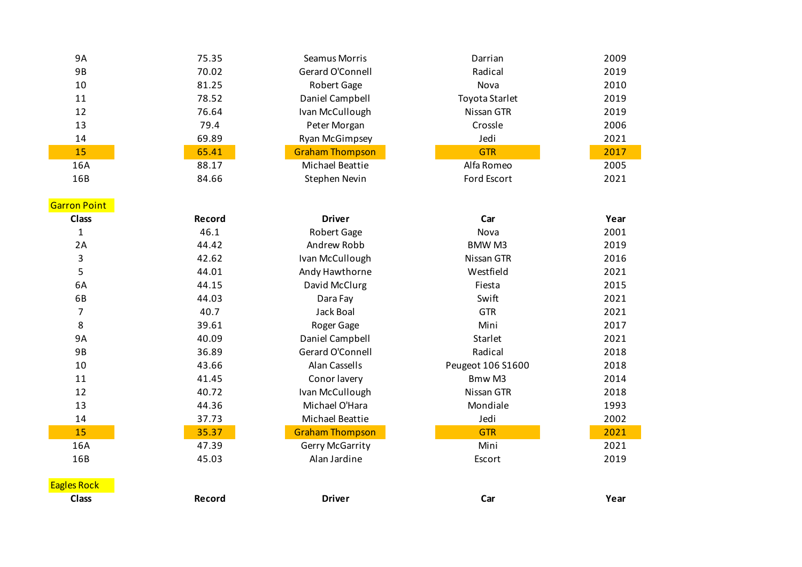| 9A                  | 75.35  | Seamus Morris          | Darrian           | 2009 |
|---------------------|--------|------------------------|-------------------|------|
| <b>9B</b>           | 70.02  | Gerard O'Connell       | Radical           | 2019 |
| 10                  | 81.25  | Robert Gage            | Nova              | 2010 |
| 11                  | 78.52  | Daniel Campbell        | Toyota Starlet    | 2019 |
| 12                  | 76.64  | Ivan McCullough        | Nissan GTR        | 2019 |
| 13                  | 79.4   | Peter Morgan           | Crossle           | 2006 |
| 14                  | 69.89  | <b>Ryan McGimpsey</b>  | Jedi              | 2021 |
| 15                  | 65.41  | <b>Graham Thompson</b> | <b>GTR</b>        | 2017 |
| 16A                 | 88.17  | Michael Beattie        | Alfa Romeo        | 2005 |
| 16B                 | 84.66  | Stephen Nevin          | Ford Escort       | 2021 |
|                     |        |                        |                   |      |
| <b>Garron Point</b> |        |                        |                   |      |
| <b>Class</b>        | Record | <b>Driver</b>          | Car               | Year |
| $\mathbf{1}$        | 46.1   | Robert Gage            | Nova              | 2001 |
| 2A                  | 44.42  | Andrew Robb            | <b>BMWM3</b>      | 2019 |
| 3                   | 42.62  | Ivan McCullough        | Nissan GTR        | 2016 |
| 5                   | 44.01  | Andy Hawthorne         | Westfield         | 2021 |
| 6A                  | 44.15  | David McClurg          | Fiesta            | 2015 |
| 6B                  | 44.03  | Dara Fay               | Swift             | 2021 |
| 7                   | 40.7   | Jack Boal              | <b>GTR</b>        | 2021 |
| 8                   | 39.61  | Roger Gage             | Mini              | 2017 |
| <b>9A</b>           | 40.09  | Daniel Campbell        | Starlet           | 2021 |
| <b>9B</b>           | 36.89  | Gerard O'Connell       | Radical           | 2018 |
| 10                  | 43.66  | Alan Cassells          | Peugeot 106 S1600 | 2018 |
| 11                  | 41.45  | Conor lavery           | Bmw M3            | 2014 |
| 12                  | 40.72  | Ivan McCullough        | Nissan GTR        | 2018 |
| 13                  | 44.36  | Michael O'Hara         | Mondiale          | 1993 |
| 14                  | 37.73  | Michael Beattie        | Jedi              | 2002 |
| 15                  | 35.37  | <b>Graham Thompson</b> | <b>GTR</b>        | 2021 |
| 16A                 | 47.39  | Gerry McGarrity        | Mini              | 2021 |
| 16B                 | 45.03  | Alan Jardine           | Escort            | 2019 |
|                     |        |                        |                   |      |
| <b>Eagles Rock</b>  |        |                        |                   |      |
| <b>Class</b>        | Record | <b>Driver</b>          | Car               | Year |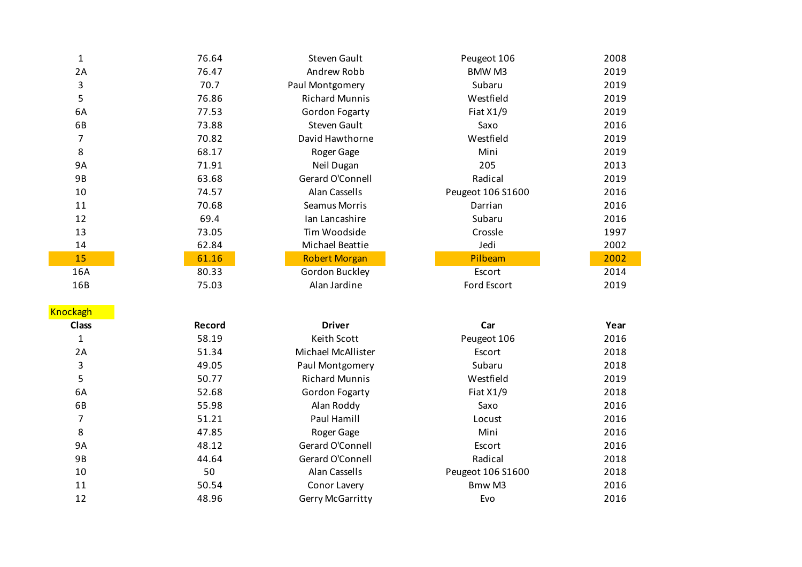| $\mathbf{1}$    | 76.64  | <b>Steven Gault</b>    | Peugeot 106       | 2008 |
|-----------------|--------|------------------------|-------------------|------|
| 2A              | 76.47  | Andrew Robb            | <b>BMWM3</b>      | 2019 |
| 3               | 70.7   | Paul Montgomery        | Subaru            | 2019 |
| 5               | 76.86  | <b>Richard Munnis</b>  | Westfield         | 2019 |
| 6A              | 77.53  | Gordon Fogarty         | Fiat X1/9         | 2019 |
| 6B              | 73.88  | <b>Steven Gault</b>    | Saxo              | 2016 |
| $\overline{7}$  | 70.82  | David Hawthorne        | Westfield         | 2019 |
| 8               | 68.17  | Roger Gage             | Mini              | 2019 |
| <b>9A</b>       | 71.91  | Neil Dugan             | 205               | 2013 |
| 9B              | 63.68  | Gerard O'Connell       | Radical           | 2019 |
| 10              | 74.57  | Alan Cassells          | Peugeot 106 S1600 | 2016 |
| 11              | 70.68  | Seamus Morris          | Darrian           | 2016 |
| 12              | 69.4   | Ian Lancashire         | Subaru            | 2016 |
| 13              | 73.05  | Tim Woodside           | Crossle           | 1997 |
| 14              | 62.84  | <b>Michael Beattie</b> | Jedi              | 2002 |
| 15              | 61.16  | <b>Robert Morgan</b>   | Pilbeam           | 2002 |
| 16A             | 80.33  | Gordon Buckley         | Escort            | 2014 |
| 16B             | 75.03  | Alan Jardine           | Ford Escort       | 2019 |
| <b>Knockagh</b> |        |                        |                   |      |
| <b>Class</b>    | Record | <b>Driver</b>          | Car               | Year |
| $\mathbf{1}$    | 58.19  | Keith Scott            | Peugeot 106       | 2016 |
| 2A              | 51.34  | Michael McAllister     | Escort            | 2018 |
| 3               | 49.05  | Paul Montgomery        | Subaru            | 2018 |
| 5               | 50.77  | <b>Richard Munnis</b>  | Westfield         | 2019 |
| 6A              | 52.68  | Gordon Fogarty         | Fiat X1/9         | 2018 |
| 6B              | 55.98  | Alan Roddy             | Saxo              | 2016 |
| $\overline{7}$  | 51.21  | Paul Hamill            | Locust            | 2016 |
| 8               | 47.85  | Roger Gage             | Mini              | 2016 |
| <b>9A</b>       | 48.12  | Gerard O'Connell       | Escort            | 2016 |
| 9B              | 44.64  | Gerard O'Connell       | Radical           | 2018 |
| 10              | 50     | Alan Cassells          | Peugeot 106 S1600 | 2018 |
| 11              | 50.54  | Conor Lavery           | Bmw M3            | 2016 |
| 12              | 48.96  | Gerry McGarritty       | Evo               | 2016 |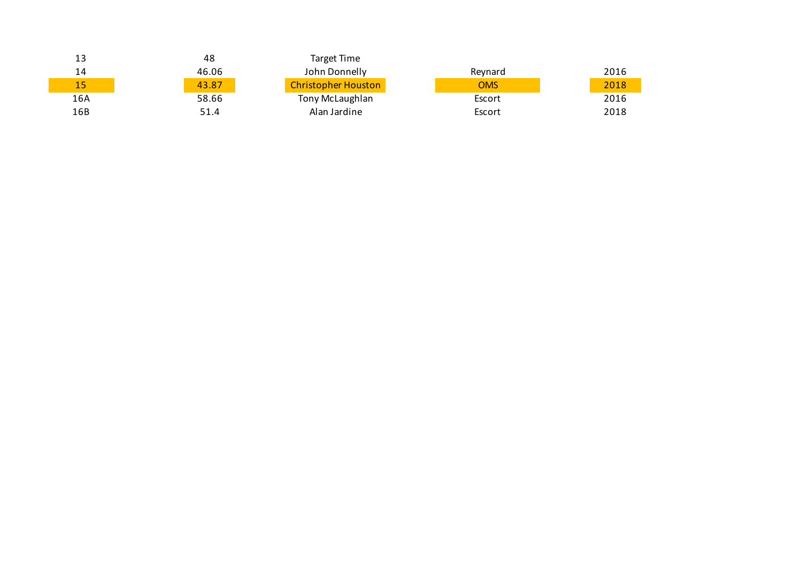| 13  | 48    | Target Time                |            |      |
|-----|-------|----------------------------|------------|------|
| 14  | 46.06 | John Donnelly              | Reynard    | 2016 |
| 15  | 43.87 | <b>Christopher Houston</b> | <b>OMS</b> | 2018 |
| 16A | 58.66 | Tony McLaughlan            | Escort     | 2016 |
| 16B | 51.4  | Alan Jardine               | Escort     | 2018 |